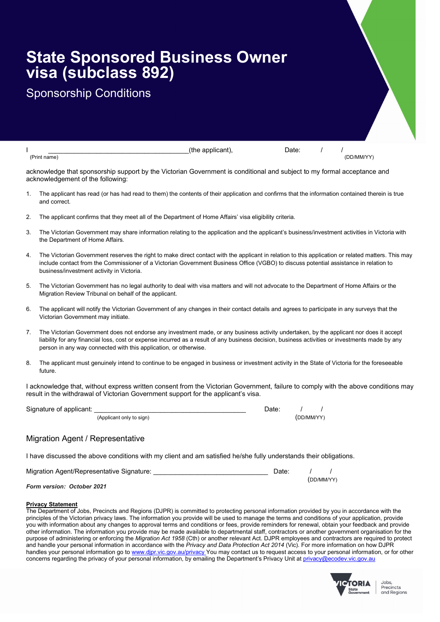# State Sponsored Business Owner visa (subclass 892)

## Sponsorship Conditions

|                                                                                                                                                                                                                          | Date:<br>(the applicant),<br>(DD/MM/YY)<br>(Print name)                                                                                                                                                                                                                                                                                                        |  |  |  |
|--------------------------------------------------------------------------------------------------------------------------------------------------------------------------------------------------------------------------|----------------------------------------------------------------------------------------------------------------------------------------------------------------------------------------------------------------------------------------------------------------------------------------------------------------------------------------------------------------|--|--|--|
| acknowledge that sponsorship support by the Victorian Government is conditional and subject to my formal acceptance and<br>acknowledgement of the following:                                                             |                                                                                                                                                                                                                                                                                                                                                                |  |  |  |
| 1.                                                                                                                                                                                                                       | The applicant has read (or has had read to them) the contents of their application and confirms that the information contained therein is true<br>and correct.                                                                                                                                                                                                 |  |  |  |
| 2.                                                                                                                                                                                                                       | The applicant confirms that they meet all of the Department of Home Affairs' visa eligibility criteria.                                                                                                                                                                                                                                                        |  |  |  |
| 3.                                                                                                                                                                                                                       | The Victorian Government may share information relating to the application and the applicant's business/investment activities in Victoria with<br>the Department of Home Affairs.                                                                                                                                                                              |  |  |  |
| 4.                                                                                                                                                                                                                       | The Victorian Government reserves the right to make direct contact with the applicant in relation to this application or related matters. This may<br>include contact from the Commissioner of a Victorian Government Business Office (VGBO) to discuss potential assistance in relation to<br>business/investment activity in Victoria.                       |  |  |  |
| 5.                                                                                                                                                                                                                       | The Victorian Government has no legal authority to deal with visa matters and will not advocate to the Department of Home Affairs or the<br>Migration Review Tribunal on behalf of the applicant.                                                                                                                                                              |  |  |  |
| 6.                                                                                                                                                                                                                       | The applicant will notify the Victorian Government of any changes in their contact details and agrees to participate in any surveys that the<br>Victorian Government may initiate.                                                                                                                                                                             |  |  |  |
| 7.                                                                                                                                                                                                                       | The Victorian Government does not endorse any investment made, or any business activity undertaken, by the applicant nor does it accept<br>liability for any financial loss, cost or expense incurred as a result of any business decision, business activities or investments made by any<br>person in any way connected with this application, or otherwise. |  |  |  |
| 8.                                                                                                                                                                                                                       | The applicant must genuinely intend to continue to be engaged in business or investment activity in the State of Victoria for the foreseeable<br>future.                                                                                                                                                                                                       |  |  |  |
| I acknowledge that, without express written consent from the Victorian Government, failure to comply with the above conditions may<br>result in the withdrawal of Victorian Government support for the applicant's visa. |                                                                                                                                                                                                                                                                                                                                                                |  |  |  |
|                                                                                                                                                                                                                          | Signature of applicant:<br>Date:                                                                                                                                                                                                                                                                                                                               |  |  |  |
|                                                                                                                                                                                                                          | (Applicant only to sign)<br>(DD/MM/YY)                                                                                                                                                                                                                                                                                                                         |  |  |  |
|                                                                                                                                                                                                                          |                                                                                                                                                                                                                                                                                                                                                                |  |  |  |

#### Migration Agent / Representative

I have discussed the above conditions with my client and am satisfied he/she fully understands their obligations.

| Migration Agent/Representative Signature: |            |  |
|-------------------------------------------|------------|--|
|                                           | (DD/MM/YY) |  |

#### Form version: October 2021

#### Privacy Statement

The Department of Jobs, Precincts and Regions (DJPR) is committed to protecting personal information provided by you in accordance with the principles of the Victorian privacy laws. The information you provide will be used to manage the terms and conditions of your application, provide you with information about any changes to approval terms and conditions or fees, provide reminders for renewal, obtain your feedback and provide other information. The information you provide may be made available to departmental staff, contractors or another government organisation for the purpose of administering or enforcing the Migration Act 1958 (Cth) or another relevant Act. DJPR employees and contractors are required to protect and handle your personal information in accordance with the Privacy and Data Protection Act 2014 (Vic). For more information on how DJPR handles your personal information go to www.djpr.vic.gov.au/privacy You may contact us to request access to your personal information, or for other concerns regarding the privacy of your personal information, by emailing the Department's Privacy Unit at privacy@ecodev.vic.gov.au



Jobs, Precincts and Regions